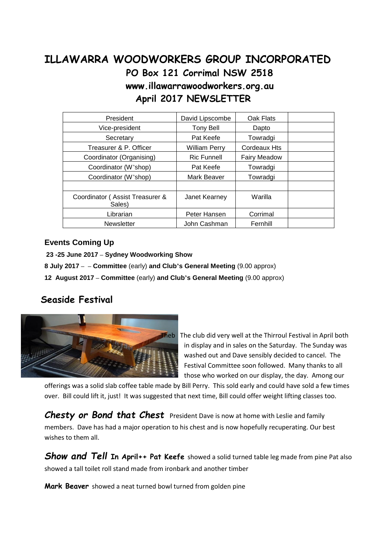## **ILLAWARRA WOODWORKERS GROUP INCORPORATED PO Box 121 Corrimal NSW 2518 www.illawarrawoodworkers.org.au April 2017 NEWSLETTER**

| President                                 | David Lipscombe      | Oak Flats           |  |
|-------------------------------------------|----------------------|---------------------|--|
| Vice-president                            | <b>Tony Bell</b>     | Dapto               |  |
| Secretary                                 | Pat Keefe            | Towradgi            |  |
| Treasurer & P. Officer                    | <b>William Perry</b> | Cordeaux Hts        |  |
| Coordinator (Organising)                  | <b>Ric Funnell</b>   | <b>Fairy Meadow</b> |  |
| Coordinator (W'shop)                      | Pat Keefe            | Towradgi            |  |
| Coordinator (W'shop)                      | <b>Mark Beaver</b>   | Towradgi            |  |
|                                           |                      |                     |  |
| Coordinator (Assist Treasurer &<br>Sales) | Janet Kearney        | Warilla             |  |
| Librarian                                 | Peter Hansen         | Corrimal            |  |
| <b>Newsletter</b>                         | John Cashman         | Fernhill            |  |

## **Events Coming Up**

**23 -25 June 2017 – Sydney Woodworking Show**

**8 July 2017 – – Committee** (early) **and Club's General Meeting** (9.00 approx)

**12 August 2017 – Committee** (early) **and Club's General Meeting** (9.00 approx)

## **Seaside Festival**



Theb The club did very well at the Thirroul Festival in April both in display and in sales on the Saturday. The Sunday was washed out and Dave sensibly decided to cancel. The Festival Committee soon followed. Many thanks to all those who worked on our display, the day. Among our

offerings was a solid slab coffee table made by Bill Perry. This sold early and could have sold a few times over. Bill could lift it, just! It was suggested that next time, Bill could offer weight lifting classes too.

*Chesty or Bond that Chest* President Dave is now at home with Leslie and family members. Dave has had a major operation to his chest and is now hopefully recuperating. Our best wishes to them all.

*Show and Tell* **In April++ Pat Keefe** showed a solid turned table leg made from pine Pat also showed a tall toilet roll stand made from ironbark and another timber

**Mark Beaver** showed a neat turned bowl turned from golden pine